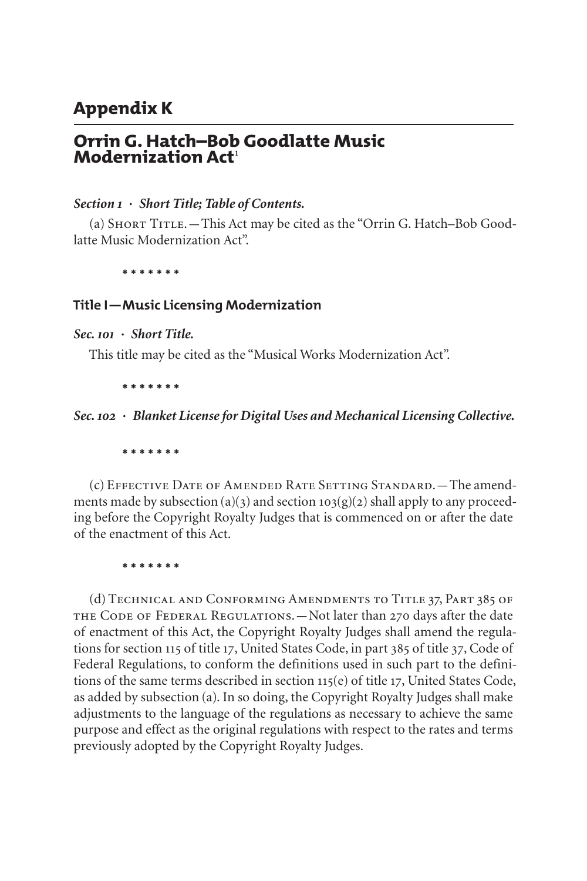# **Appendix K**

# **Orrin G. Hatch–Bob Goodlatte Music Modernization Act**[1](#page-5-0)

#### *Section 1 · Short Title; Table of Contents.*

(a) Short Title.—This Act may be cited as the "Orrin G. Hatch–Bob Goodlatte Music Modernization Act".

**\* \* \* \* \* \* \***

#### **Title I—Music Licensing Modernization**

#### *Sec. 101 · Short Title.*

This title may be cited as the "Musical Works Modernization Act".

**\* \* \* \* \* \* \***

#### *Sec. 102 · Blanket License for Digital Uses and Mechanical Licensing Collective.*

#### **\* \* \* \* \* \* \***

(c) Effective Date of Amended Rate Setting Standard.—The amendments made by subsection (a)(3) and section  $103(g)(2)$  shall apply to any proceeding before the Copyright Royalty Judges that is commenced on or after the date of the enactment of this Act.

**\* \* \* \* \* \* \***

(d) Technical and Conforming Amendments to Title 37, Part 385 of the Code of Federal Regulations.—Not later than 270 days after the date of enactment of this Act, the Copyright Royalty Judges shall amend the regulations for section 115 of title 17, United States Code, in part 385 of title 37, Code of Federal Regulations, to conform the definitions used in such part to the definitions of the same terms described in section 115(e) of title 17, United States Code, as added by subsection (a). In so doing, the Copyright Royalty Judges shall make adjustments to the language of the regulations as necessary to achieve the same purpose and effect as the original regulations with respect to the rates and terms previously adopted by the Copyright Royalty Judges.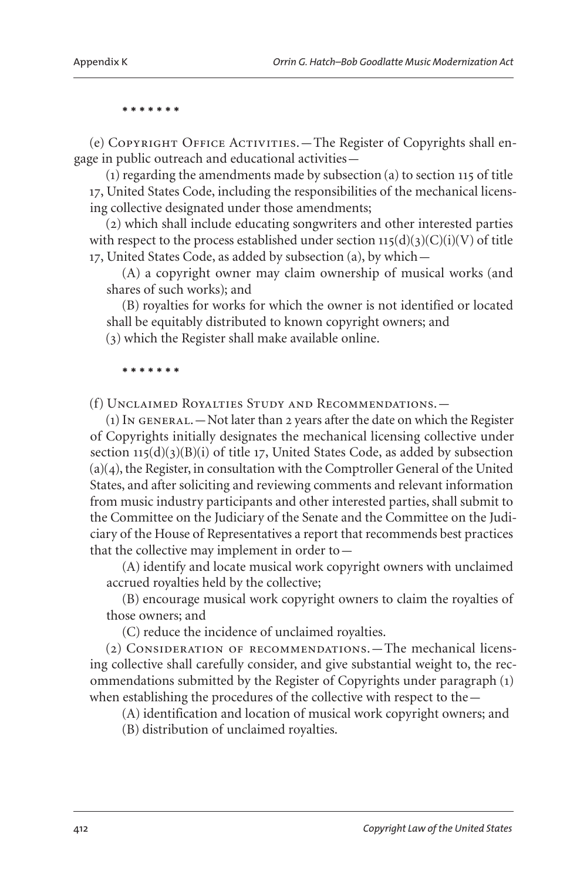(e) COPYRIGHT OFFICE ACTIVITIES. - The Register of Copyrights shall engage in public outreach and educational activities—

(1) regarding the amendments made by subsection (a) to section 115 of title 17, United States Code, including the responsibilities of the mechanical licensing collective designated under those amendments;

(2) which shall include educating songwriters and other interested parties with respect to the process established under section  $115(d)(3)(C)(i)(V)$  of title 17, United States Code, as added by subsection (a), by which—

(A) a copyright owner may claim ownership of musical works (and shares of such works); and

(B) royalties for works for which the owner is not identified or located shall be equitably distributed to known copyright owners; and

(3) which the Register shall make available online.

#### **\* \* \* \* \* \* \***

(f) Unclaimed Royalties Study and Recommendations.—

 $(1)$  In GENERAL.  $-$  Not later than 2 years after the date on which the Register of Copyrights initially designates the mechanical licensing collective under section  $115(d)(3)(B)(i)$  of title 17, United States Code, as added by subsection (a)(4), the Register, in consultation with the Comptroller General of the United States, and after soliciting and reviewing comments and relevant information from music industry participants and other interested parties, shall submit to the Committee on the Judiciary of the Senate and the Committee on the Judiciary of the House of Representatives a report that recommends best practices that the collective may implement in order to—

(A) identify and locate musical work copyright owners with unclaimed accrued royalties held by the collective;

(B) encourage musical work copyright owners to claim the royalties of those owners; and

(C) reduce the incidence of unclaimed royalties.

(2) Consideration of recommendations.—The mechanical licensing collective shall carefully consider, and give substantial weight to, the recommendations submitted by the Register of Copyrights under paragraph (1) when establishing the procedures of the collective with respect to the—

(A) identification and location of musical work copyright owners; and

(B) distribution of unclaimed royalties.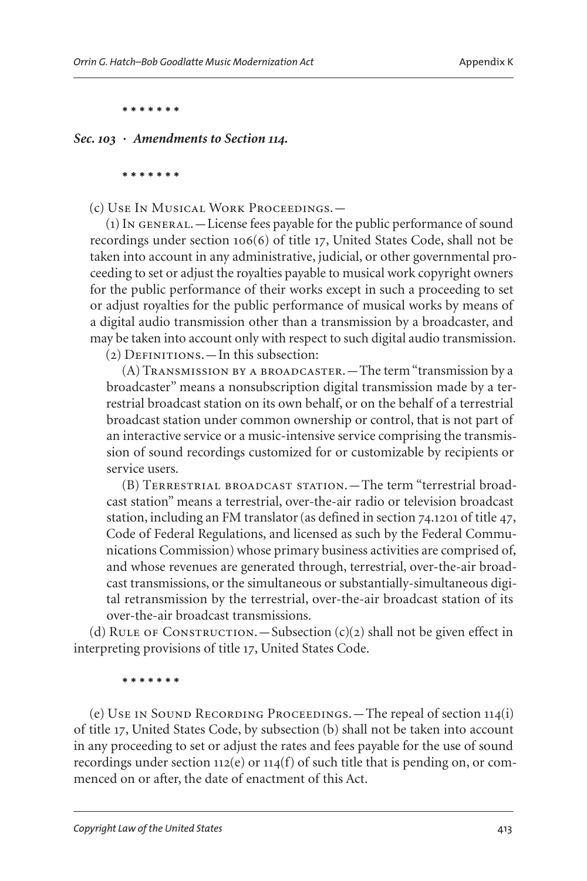*Sec. 103 · Amendments to Section 114.*

**\* \* \* \* \* \* \***

(c) Use In Musical Work Proceedings.—

(1) In general.—License fees payable for the public performance of sound recordings under section 106(6) of title 17, United States Code, shall not be taken into account in any administrative, judicial, or other governmental proceeding to set or adjust the royalties payable to musical work copyright owners for the public performance of their works except in such a proceeding to set or adjust royalties for the public performance of musical works by means of a digital audio transmission other than a transmission by a broadcaster, and may be taken into account only with respect to such digital audio transmission.

 $(2)$  DEFINITIONS. — In this subsection:

(A) Transmission by a broadcaster.—The term "transmission by a broadcaster" means a nonsubscription digital transmission made by a terrestrial broadcast station on its own behalf, or on the behalf of a terrestrial broadcast station under common ownership or control, that is not part of an interactive service or a music-intensive service comprising the transmission of sound recordings customized for or customizable by recipients or service users.

(B) Terrestrial broadcast station.—The term "terrestrial broadcast station" means a terrestrial, over-the-air radio or television broadcast station, including an FM translator (as defined in section 74.1201 of title 47, Code of Federal Regulations, and licensed as such by the Federal Communications Commission) whose primary business activities are comprised of, and whose revenues are generated through, terrestrial, over-the-air broadcast transmissions, or the simultaneous or substantially-simultaneous digital retransmission by the terrestrial, over-the-air broadcast station of its over-the-air broadcast transmissions.

(d) RULE OF CONSTRUCTION.—Subsection  $(c)(2)$  shall not be given effect in interpreting provisions of title 17, United States Code.

**\* \* \* \* \* \* \***

(e) Use in Sound Recording Proceedings.—The repeal of section 114(i) of title 17, United States Code, by subsection (b) shall not be taken into account in any proceeding to set or adjust the rates and fees payable for the use of sound recordings under section 112(e) or 114(f) of such title that is pending on, or commenced on or after, the date of enactment of this Act.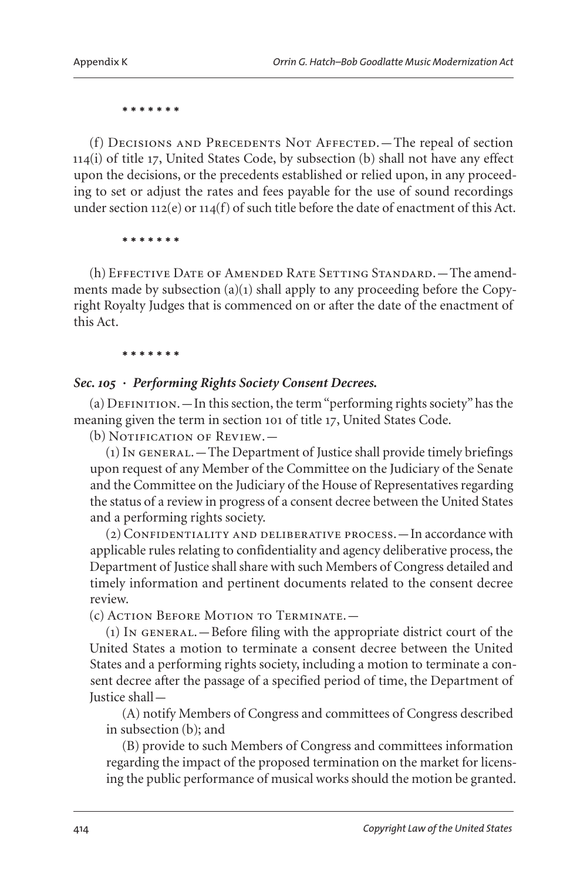(f) Decisions and Precedents Not Affected.—The repeal of section 114(i) of title 17, United States Code, by subsection (b) shall not have any effect upon the decisions, or the precedents established or relied upon, in any proceeding to set or adjust the rates and fees payable for the use of sound recordings under section 112(e) or 114(f) of such title before the date of enactment of this Act.

**\* \* \* \* \* \* \***

(h) Effective Date of Amended Rate Setting Standard.—The amendments made by subsection (a)(1) shall apply to any proceeding before the Copyright Royalty Judges that is commenced on or after the date of the enactment of this Act.

#### **\* \* \* \* \* \* \***

### *Sec. 105 · Performing Rights Society Consent Decrees.*

 $(a)$  DEFINITION. — In this section, the term "performing rights society" has the meaning given the term in section 101 of title 17, United States Code.

(b) NOTIFICATION OF REVIEW.

(1) In general.—The Department of Justice shall provide timely briefings upon request of any Member of the Committee on the Judiciary of the Senate and the Committee on the Judiciary of the House of Representatives regarding the status of a review in progress of a consent decree between the United States and a performing rights society.

(2) Confidentiality and deliberative process.—In accordance with applicable rules relating to confidentiality and agency deliberative process, the Department of Justice shall share with such Members of Congress detailed and timely information and pertinent documents related to the consent decree review.

(c) Action Before Motion to Terminate.—

(1) In general.—Before filing with the appropriate district court of the United States a motion to terminate a consent decree between the United States and a performing rights society, including a motion to terminate a consent decree after the passage of a specified period of time, the Department of Justice shall—

(A) notify Members of Congress and committees of Congress described in subsection (b); and

(B) provide to such Members of Congress and committees information regarding the impact of the proposed termination on the market for licensing the public performance of musical works should the motion be granted.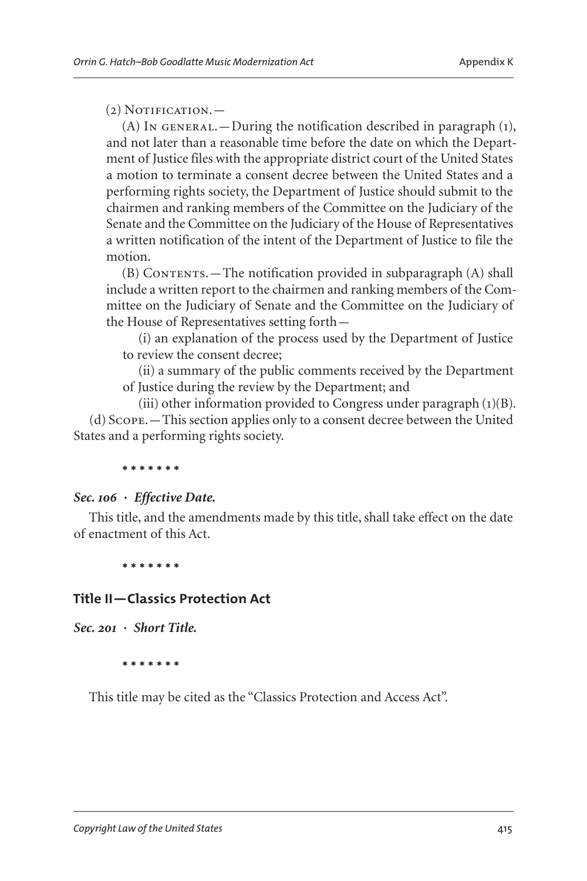### $(2)$  Notification.  $-$

(A) In GENERAL. — During the notification described in paragraph  $(1)$ , and not later than a reasonable time before the date on which the Department of Justice files with the appropriate district court of the United States a motion to terminate a consent decree between the United States and a performing rights society, the Department of Justice should submit to the chairmen and ranking members of the Committee on the Judiciary of the Senate and the Committee on the Judiciary of the House of Representatives a written notification of the intent of the Department of Justice to file the motion.

(B) Contents.—The notification provided in subparagraph (A) shall include a written report to the chairmen and ranking members of the Committee on the Judiciary of Senate and the Committee on the Judiciary of the House of Representatives setting forth—

(i) an explanation of the process used by the Department of Justice to review the consent decree;

(ii) a summary of the public comments received by the Department of Justice during the review by the Department; and

(iii) other information provided to Congress under paragraph (1)(B). (d) Scope.—This section applies only to a consent decree between the United States and a performing rights society.

#### **\* \* \* \* \* \* \***

#### *Sec. 106 · Effective Date.*

This title, and the amendments made by this title, shall take effect on the date of enactment of this Act.

**\* \* \* \* \* \* \***

## **Title II—Classics Protection Act**

*Sec. 201 · Short Title.*

**\* \* \* \* \* \* \***

This title may be cited as the "Classics Protection and Access Act".